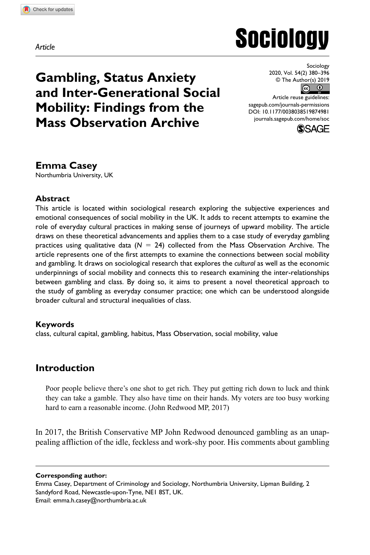**8749[81](http://crossmark.crossref.org/dialog/?doi=10.1177%2F0038038519874981&domain=pdf&date_stamp=2019-10-07)**SOC0010.1177/0038038519874981Sociology**Casey**

*Article*

# **Sociology**

# **Gambling, Status Anxiety and Inter-Generational Social Mobility: Findings from the Mass Observation Archive**

Sociology 2020, Vol. 54(2) 380–396  $\circ$  The Author(s) 2019

https://doi.org/10.1177/0038038519874981 DOI: 10.1177/0038038519874981 Article reuse guidelines: [sagepub.com/journals-permissions](https://uk.sagepub.com/en-gb/journals-permissions) [journals.sagepub.com/home/soc](https://journals.sagepub.com/home/soc)



### **Emma Casey**

Northumbria University, UK

#### **Abstract**

This article is located within sociological research exploring the subjective experiences and emotional consequences of social mobility in the UK. It adds to recent attempts to examine the role of everyday cultural practices in making sense of journeys of upward mobility. The article draws on these theoretical advancements and applies them to a case study of everyday gambling practices using qualitative data ( $N = 24$ ) collected from the Mass Observation Archive. The article represents one of the first attempts to examine the connections between social mobility and gambling. It draws on sociological research that explores the *cultural* as well as the economic underpinnings of social mobility and connects this to research examining the inter-relationships between gambling and class. By doing so, it aims to present a novel theoretical approach to the study of gambling as everyday consumer practice; one which can be understood alongside broader cultural and structural inequalities of class.

#### **Keywords**

class, cultural capital, gambling, habitus, Mass Observation, social mobility, value

# **Introduction**

Poor people believe there's one shot to get rich. They put getting rich down to luck and think they can take a gamble. They also have time on their hands. My voters are too busy working hard to earn a reasonable income. (John Redwood MP, 2017)

In 2017, the British Conservative MP John Redwood denounced gambling as an unappealing affliction of the idle, feckless and work-shy poor. His comments about gambling

**Corresponding author:**

Emma Casey, Department of Criminology and Sociology, Northumbria University, Lipman Building, 2 Sandyford Road, Newcastle-upon-Tyne, NE1 8ST, UK.

Email: [emma.h.casey@northumbria.ac.uk](mailto:emma.h.casey@northumbria.ac.uk)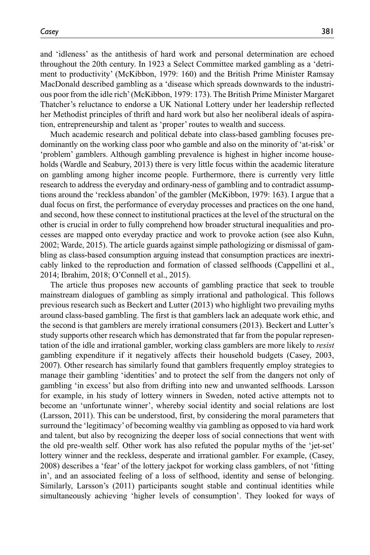and 'idleness' as the antithesis of hard work and personal determination are echoed throughout the 20th century. In 1923 a Select Committee marked gambling as a 'detriment to productivity' (McKibbon, 1979: 160) and the British Prime Minister Ramsay MacDonald described gambling as a 'disease which spreads downwards to the industrious poor from the idle rich' (McKibbon, 1979: 173). The British Prime Minister Margaret Thatcher's reluctance to endorse a UK National Lottery under her leadership reflected her Methodist principles of thrift and hard work but also her neoliberal ideals of aspiration, entrepreneurship and talent as 'proper' routes to wealth and success.

Much academic research and political debate into class-based gambling focuses predominantly on the working class poor who gamble and also on the minority of 'at-risk' or 'problem' gamblers. Although gambling prevalence is highest in higher income households (Wardle and Seabury, 2013) there is very little focus within the academic literature on gambling among higher income people. Furthermore, there is currently very little research to address the everyday and ordinary-ness of gambling and to contradict assumptions around the 'reckless abandon' of the gambler (McKibbon, 1979: 163). I argue that a dual focus on first, the performance of everyday processes and practices on the one hand, and second, how these connect to institutional practices at the level of the structural on the other is crucial in order to fully comprehend how broader structural inequalities and processes are mapped onto everyday practice and work to provoke action (see also Kuhn, 2002; Warde, 2015). The article guards against simple pathologizing or dismissal of gambling as class-based consumption arguing instead that consumption practices are inextricably linked to the reproduction and formation of classed selfhoods (Cappellini et al., 2014; Ibrahim, 2018; O'Connell et al., 2015).

The article thus proposes new accounts of gambling practice that seek to trouble mainstream dialogues of gambling as simply irrational and pathological. This follows previous research such as Beckert and Lutter (2013) who highlight two prevailing myths around class-based gambling. The first is that gamblers lack an adequate work ethic, and the second is that gamblers are merely irrational consumers (2013). Beckert and Lutter's study supports other research which has demonstrated that far from the popular representation of the idle and irrational gambler, working class gamblers are more likely to *resist* gambling expenditure if it negatively affects their household budgets (Casey, 2003, 2007). Other research has similarly found that gamblers frequently employ strategies to manage their gambling 'identities' and to protect the self from the dangers not only of gambling 'in excess' but also from drifting into new and unwanted selfhoods. Larsson for example, in his study of lottery winners in Sweden, noted active attempts not to become an 'unfortunate winner', whereby social identity and social relations are lost (Larsson, 2011). This can be understood, first, by considering the moral parameters that surround the 'legitimacy' of becoming wealthy via gambling as opposed to via hard work and talent, but also by recognizing the deeper loss of social connections that went with the old pre-wealth self. Other work has also refuted the popular myths of the 'jet-set' lottery winner and the reckless, desperate and irrational gambler. For example, (Casey, 2008) describes a 'fear' of the lottery jackpot for working class gamblers, of not 'fitting in', and an associated feeling of a loss of selfhood, identity and sense of belonging. Similarly, Larsson's (2011) participants sought stable and continual identities while simultaneously achieving 'higher levels of consumption'. They looked for ways of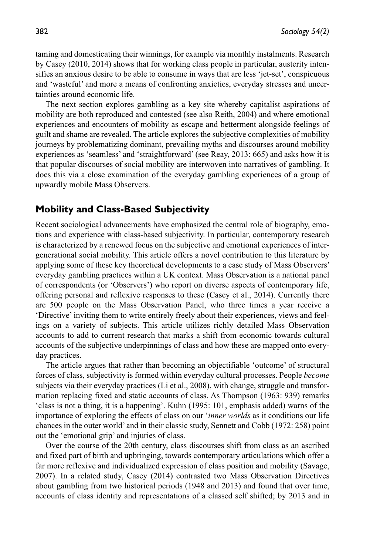taming and domesticating their winnings, for example via monthly instalments. Research by Casey (2010, 2014) shows that for working class people in particular, austerity intensifies an anxious desire to be able to consume in ways that are less 'jet-set', conspicuous and 'wasteful' and more a means of confronting anxieties, everyday stresses and uncertainties around economic life.

The next section explores gambling as a key site whereby capitalist aspirations of mobility are both reproduced and contested (see also Reith, 2004) and where emotional experiences and encounters of mobility as escape and betterment alongside feelings of guilt and shame are revealed. The article explores the subjective complexities of mobility journeys by problematizing dominant, prevailing myths and discourses around mobility experiences as 'seamless' and 'straightforward' (see Reay, 2013: 665) and asks how it is that popular discourses of social mobility are interwoven into narratives of gambling. It does this via a close examination of the everyday gambling experiences of a group of upwardly mobile Mass Observers.

#### **Mobility and Class-Based Subjectivity**

Recent sociological advancements have emphasized the central role of biography, emotions and experience with class-based subjectivity. In particular, contemporary research is characterized by a renewed focus on the subjective and emotional experiences of intergenerational social mobility. This article offers a novel contribution to this literature by applying some of these key theoretical developments to a case study of Mass Observers' everyday gambling practices within a UK context. Mass Observation is a national panel of correspondents (or 'Observers') who report on diverse aspects of contemporary life, offering personal and reflexive responses to these (Casey et al., 2014). Currently there are 500 people on the Mass Observation Panel, who three times a year receive a 'Directive' inviting them to write entirely freely about their experiences, views and feelings on a variety of subjects. This article utilizes richly detailed Mass Observation accounts to add to current research that marks a shift from economic towards cultural accounts of the subjective underpinnings of class and how these are mapped onto everyday practices.

The article argues that rather than becoming an objectifiable 'outcome' of structural forces of class, subjectivity is formed within everyday cultural processes. People *become* subjects via their everyday practices (Li et al., 2008), with change, struggle and transformation replacing fixed and static accounts of class. As Thompson (1963: 939) remarks 'class is not a thing, it is a happening'. Kuhn (1995: 101, emphasis added) warns of the importance of exploring the effects of class on our '*inner worlds* as it conditions our life chances in the outer world' and in their classic study, Sennett and Cobb (1972: 258) point out the 'emotional grip' and injuries of class.

Over the course of the 20th century, class discourses shift from class as an ascribed and fixed part of birth and upbringing, towards contemporary articulations which offer a far more reflexive and individualized expression of class position and mobility (Savage, 2007). In a related study, Casey (2014) contrasted two Mass Observation Directives about gambling from two historical periods (1948 and 2013) and found that over time, accounts of class identity and representations of a classed self shifted; by 2013 and in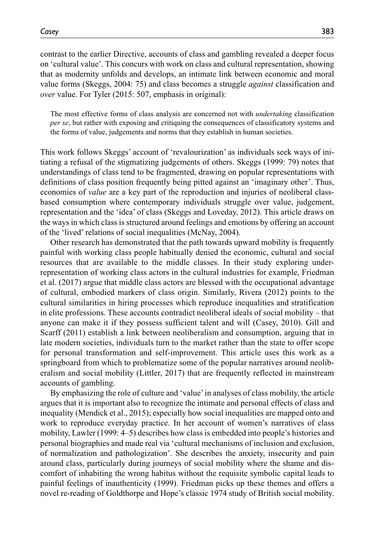contrast to the earlier Directive, accounts of class and gambling revealed a deeper focus on 'cultural value'. This concurs with work on class and cultural representation, showing that as modernity unfolds and develops, an intimate link between economic and moral value forms (Skeggs, 2004: 75) and class becomes a struggle *against* classification and *over* value. For Tyler (2015: 507, emphasis in original):

The most effective forms of class analysis are concerned not with *undertaking* classification *per se*, but rather with exposing and critiquing the consequences of classificatory systems and the forms of value, judgements and norms that they establish in human societies.

This work follows Skeggs' account of 'revalourization' as individuals seek ways of initiating a refusal of the stigmatizing judgements of others. Skeggs (1999: 79) notes that understandings of class tend to be fragmented, drawing on popular representations with definitions of class position frequently being pitted against an 'imaginary other'. Thus, economies of *value* are a key part of the reproduction and injuries of neoliberal classbased consumption where contemporary individuals struggle over value, judgement, representation and the 'idea' of class (Skeggs and Loveday, 2012). This article draws on the ways in which class is structured around feelings and emotions by offering an account of the 'lived' relations of social inequalities (McNay, 2004).

Other research has demonstrated that the path towards upward mobility is frequently painful with working class people habitually denied the economic, cultural and social resources that are available to the middle classes. In their study exploring underrepresentation of working class actors in the cultural industries for example, Friedman et al. (2017) argue that middle class actors are blessed with the occupational advantage of cultural, embodied markers of class origin. Similarly, Rivera (2012) points to the cultural similarities in hiring processes which reproduce inequalities and stratification in elite professions. These accounts contradict neoliberal ideals of social mobility – that anyone can make it if they possess sufficient talent and will (Casey, 2010). Gill and Scarff (2011) establish a link between neoliberalism and consumption, arguing that in late modern societies, individuals turn to the market rather than the state to offer scope for personal transformation and self-improvement. This article uses this work as a springboard from which to problematize some of the popular narratives around neoliberalism and social mobility (Littler, 2017) that are frequently reflected in mainstream accounts of gambling.

By emphasizing the role of culture and 'value' in analyses of class mobility, the article argues that it is important also to recognize the intimate and personal effects of class and inequality (Mendick et al., 2015); especially how social inequalities are mapped onto and work to reproduce everyday practice. In her account of women's narratives of class mobility, Lawler (1999: 4–5) describes how class is embedded into people's histories and personal biographies and made real via 'cultural mechanisms of inclusion and exclusion, of normalization and pathologization'. She describes the anxiety, insecurity and pain around class, particularly during journeys of social mobility where the shame and discomfort of inhabiting the wrong habitus without the requisite symbolic capital leads to painful feelings of inauthenticity (1999). Friedman picks up these themes and offers a novel re-reading of Goldthorpe and Hope's classic 1974 study of British social mobility.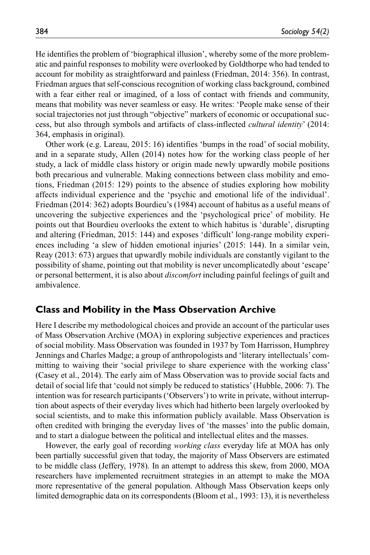He identifies the problem of 'biographical illusion', whereby some of the more problematic and painful responses to mobility were overlooked by Goldthorpe who had tended to account for mobility as straightforward and painless (Friedman, 2014: 356). In contrast, Friedman argues that self-conscious recognition of working class background, combined with a fear either real or imagined, of a loss of contact with friends and community, means that mobility was never seamless or easy. He writes: 'People make sense of their social trajectories not just through "objective" markers of economic or occupational success, but also through symbols and artifacts of class-inflected *cultural identity*' (2014: 364, emphasis in original).

Other work (e.g. Lareau, 2015: 16) identifies 'bumps in the road' of social mobility, and in a separate study, Allen (2014) notes how for the working class people of her study, a lack of middle class history or origin made newly upwardly mobile positions both precarious and vulnerable. Making connections between class mobility and emotions, Friedman (2015: 129) points to the absence of studies exploring how mobility affects individual experience and the 'psychic and emotional life of the individual'. Friedman (2014: 362) adopts Bourdieu's (1984) account of habitus as a useful means of uncovering the subjective experiences and the 'psychological price' of mobility. He points out that Bourdieu overlooks the extent to which habitus is 'durable', disrupting and altering (Friedman, 2015: 144) and exposes 'difficult' long-range mobility experiences including 'a slew of hidden emotional injuries' (2015: 144). In a similar vein, Reay (2013: 673) argues that upwardly mobile individuals are constantly vigilant to the possibility of shame, pointing out that mobility is never uncomplicatedly about 'escape' or personal betterment, it is also about *discomfort* including painful feelings of guilt and ambivalence.

#### **Class and Mobility in the Mass Observation Archive**

Here I describe my methodological choices and provide an account of the particular uses of Mass Observation Archive (MOA) in exploring subjective experiences and practices of social mobility. Mass Observation was founded in 1937 by Tom Harrisson, Humphrey Jennings and Charles Madge; a group of anthropologists and 'literary intellectuals' committing to waiving their 'social privilege to share experience with the working class' (Casey et al., 2014). The early aim of Mass Observation was to provide social facts and detail of social life that 'could not simply be reduced to statistics' (Hubble, 2006: 7). The intention was for research participants ('Observers') to write in private, without interruption about aspects of their everyday lives which had hitherto been largely overlooked by social scientists, and to make this information publicly available. Mass Observation is often credited with bringing the everyday lives of 'the masses' into the public domain, and to start a dialogue between the political and intellectual elites and the masses.

However, the early goal of recording *working class* everyday life at MOA has only been partially successful given that today, the majority of Mass Observers are estimated to be middle class (Jeffery, 1978). In an attempt to address this skew, from 2000, MOA researchers have implemented recruitment strategies in an attempt to make the MOA more representative of the general population. Although Mass Observation keeps only limited demographic data on its correspondents (Bloom et al., 1993: 13), it is nevertheless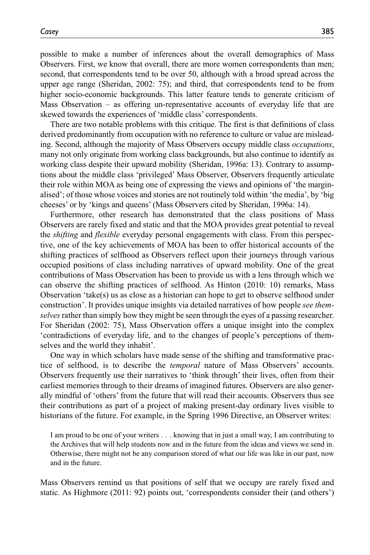possible to make a number of inferences about the overall demographics of Mass Observers. First, we know that overall, there are more women correspondents than men; second, that correspondents tend to be over 50, although with a broad spread across the upper age range (Sheridan, 2002: 75); and third, that correspondents tend to be from higher socio-economic backgrounds. This latter feature tends to generate criticism of Mass Observation – as offering un-representative accounts of everyday life that are skewed towards the experiences of 'middle class' correspondents.

There are two notable problems with this critique. The first is that definitions of class derived predominantly from occupation with no reference to culture or value are misleading. Second, although the majority of Mass Observers occupy middle class *occupations*, many not only originate from working class backgrounds, but also continue to identify as working class despite their upward mobility (Sheridan, 1996a: 13). Contrary to assumptions about the middle class 'privileged' Mass Observer, Observers frequently articulate their role within MOA as being one of expressing the views and opinions of 'the marginalised'; of those whose voices and stories are not routinely told within 'the media', by 'big cheeses' or by 'kings and queens' (Mass Observers cited by Sheridan, 1996a: 14).

Furthermore, other research has demonstrated that the class positions of Mass Observers are rarely fixed and static and that the MOA provides great potential to reveal the *shifting* and *flexible* everyday personal engagements with class. From this perspective, one of the key achievements of MOA has been to offer historical accounts of the shifting practices of selfhood as Observers reflect upon their journeys through various occupied positions of class including narratives of upward mobility. One of the great contributions of Mass Observation has been to provide us with a lens through which we can observe the shifting practices of selfhood. As Hinton (2010: 10) remarks, Mass Observation 'take(s) us as close as a historian can hope to get to observe selfhood under construction'. It provides unique insights via detailed narratives of how people *see themselves* rather than simply how they might be seen through the eyes of a passing researcher. For Sheridan (2002: 75), Mass Observation offers a unique insight into the complex 'contradictions of everyday life, and to the changes of people's perceptions of themselves and the world they inhabit'.

One way in which scholars have made sense of the shifting and transformative practice of selfhood, is to describe the *temporal* nature of Mass Observers' accounts. Observers frequently use their narratives to 'think through' their lives, often from their earliest memories through to their dreams of imagined futures. Observers are also generally mindful of 'others' from the future that will read their accounts. Observers thus see their contributions as part of a project of making present-day ordinary lives visible to historians of the future. For example, in the Spring 1996 Directive, an Observer writes:

I am proud to be one of your writers . . . knowing that in just a small way, I am contributing to the Archives that will help students now and in the future from the ideas and views we send in. Otherwise, there might not be any comparison stored of what our life was like in our past, now and in the future.

Mass Observers remind us that positions of self that we occupy are rarely fixed and static. As Highmore (2011: 92) points out, 'correspondents consider their (and others')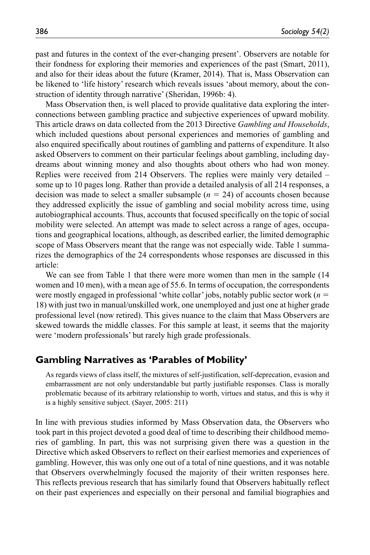past and futures in the context of the ever-changing present'. Observers are notable for their fondness for exploring their memories and experiences of the past (Smart, 2011), and also for their ideas about the future (Kramer, 2014). That is, Mass Observation can be likened to 'life history' research which reveals issues 'about memory, about the construction of identity through narrative' (Sheridan, 1996b: 4).

Mass Observation then, is well placed to provide qualitative data exploring the interconnections between gambling practice and subjective experiences of upward mobility. This article draws on data collected from the 2013 Directive *Gambling and Households*, which included questions about personal experiences and memories of gambling and also enquired specifically about routines of gambling and patterns of expenditure. It also asked Observers to comment on their particular feelings about gambling, including daydreams about winning money and also thoughts about others who had won money. Replies were received from 214 Observers. The replies were mainly very detailed – some up to 10 pages long. Rather than provide a detailed analysis of all 214 responses, a decision was made to select a smaller subsample  $(n = 24)$  of accounts chosen because they addressed explicitly the issue of gambling and social mobility across time, using autobiographical accounts. Thus, accounts that focused specifically on the topic of social mobility were selected. An attempt was made to select across a range of ages, occupations and geographical locations, although, as described earlier, the limited demographic scope of Mass Observers meant that the range was not especially wide. Table 1 summarizes the demographics of the 24 correspondents whose responses are discussed in this article:

We can see from Table 1 that there were more women than men in the sample (14 women and 10 men), with a mean age of 55.6. In terms of occupation, the correspondents were mostly engaged in professional 'white collar' jobs, notably public sector work (*n* = 18) with just two in manual/unskilled work, one unemployed and just one at higher grade professional level (now retired). This gives nuance to the claim that Mass Observers are skewed towards the middle classes. For this sample at least, it seems that the majority were 'modern professionals' but rarely high grade professionals.

#### **Gambling Narratives as 'Parables of Mobility'**

As regards views of class itself, the mixtures of self-justification, self-deprecation, evasion and embarrassment are not only understandable but partly justifiable responses. Class is morally problematic because of its arbitrary relationship to worth, virtues and status, and this is why it is a highly sensitive subject. (Sayer, 2005: 211)

In line with previous studies informed by Mass Observation data, the Observers who took part in this project devoted a good deal of time to describing their childhood memories of gambling. In part, this was not surprising given there was a question in the Directive which asked Observers to reflect on their earliest memories and experiences of gambling. However, this was only one out of a total of nine questions, and it was notable that Observers overwhelmingly focused the majority of their written responses here. This reflects previous research that has similarly found that Observers habitually reflect on their past experiences and especially on their personal and familial biographies and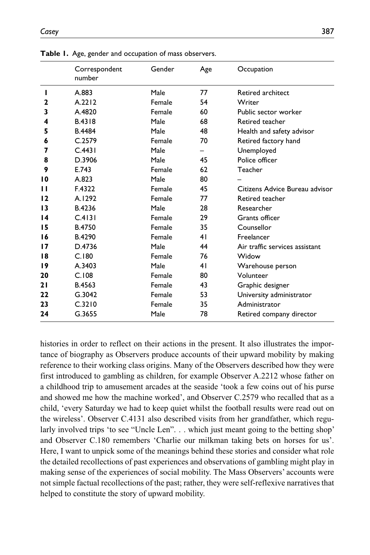|                 | Correspondent<br>number | Gender | Age | Occupation                     |
|-----------------|-------------------------|--------|-----|--------------------------------|
| L               | A.883                   | Male   | 77  | Retired architect              |
| $\mathbf{2}$    | A.2212                  | Female | 54  | Writer                         |
| 3               | A.4820                  | Female | 60  | Public sector worker           |
| 4               | B.4318                  | Male   | 68  | Retired teacher                |
| 5               | <b>B.4484</b>           | Male   | 48  | Health and safety advisor      |
| 6               | C.2579                  | Female | 70  | Retired factory hand           |
| 7               | C.4431                  | Male   |     | Unemployed                     |
| 8               | D.3906                  | Male   | 45  | Police officer                 |
| 9               | E.743                   | Female | 62  | Teacher                        |
| 10              | A.823                   | Male   | 80  |                                |
| п               | F.4322                  | Female | 45  | Citizens Advice Bureau advisor |
| 12              | A.1292                  | Female | 77  | Retired teacher                |
| 13              | B.4236                  | Male   | 28  | Researcher                     |
| $\overline{14}$ | C.4131                  | Female | 29  | Grants officer                 |
| 15              | <b>B.4750</b>           | Female | 35  | Counsellor                     |
| 16              | B.4290                  | Female | 41  | Freelancer                     |
| 17              | D.4736                  | Male   | 44  | Air traffic services assistant |
| 18              | C.180                   | Female | 76  | Widow                          |
| 19              | A.3403                  | Male   | 41  | Warehouse person               |
| 20              | C.108                   | Female | 80  | Volunteer                      |
| 21              | B.4563                  | Female | 43  | Graphic designer               |
| 22              | G.3042                  | Female | 53  | University administrator       |
| 23              | C.3210                  | Female | 35  | Administrator                  |
| 24              | G.3655                  | Male   | 78  | Retired company director       |

**Table 1.** Age, gender and occupation of mass observers.

histories in order to reflect on their actions in the present. It also illustrates the importance of biography as Observers produce accounts of their upward mobility by making reference to their working class origins. Many of the Observers described how they were first introduced to gambling as children, for example Observer A.2212 whose father on a childhood trip to amusement arcades at the seaside 'took a few coins out of his purse and showed me how the machine worked', and Observer C.2579 who recalled that as a child, 'every Saturday we had to keep quiet whilst the football results were read out on the wireless'. Observer C.4131 also described visits from her grandfather, which regularly involved trips 'to see "Uncle Len". . . which just meant going to the betting shop' and Observer C.180 remembers 'Charlie our milkman taking bets on horses for us'. Here, I want to unpick some of the meanings behind these stories and consider what role the detailed recollections of past experiences and observations of gambling might play in making sense of the experiences of social mobility. The Mass Observers' accounts were not simple factual recollections of the past; rather, they were self-reflexive narratives that helped to constitute the story of upward mobility.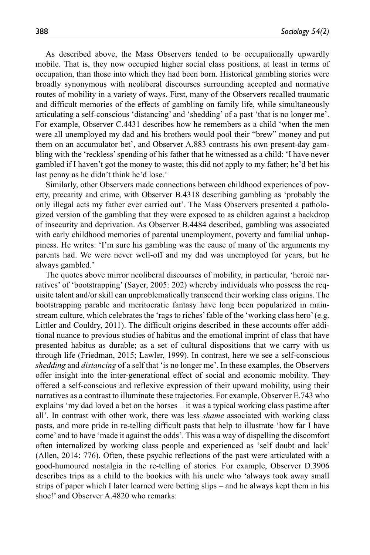As described above, the Mass Observers tended to be occupationally upwardly mobile. That is, they now occupied higher social class positions, at least in terms of occupation, than those into which they had been born. Historical gambling stories were broadly synonymous with neoliberal discourses surrounding accepted and normative routes of mobility in a variety of ways. First, many of the Observers recalled traumatic and difficult memories of the effects of gambling on family life, while simultaneously articulating a self-conscious 'distancing' and 'shedding' of a past 'that is no longer me'. For example, Observer C.4431 describes how he remembers as a child 'when the men were all unemployed my dad and his brothers would pool their "brew" money and put them on an accumulator bet', and Observer A.883 contrasts his own present-day gambling with the 'reckless' spending of his father that he witnessed as a child: 'I have never gambled if I haven't got the money to waste; this did not apply to my father; he'd bet his last penny as he didn't think he'd lose.'

Similarly, other Observers made connections between childhood experiences of poverty, precarity and crime, with Observer B.4318 describing gambling as 'probably the only illegal acts my father ever carried out'. The Mass Observers presented a pathologized version of the gambling that they were exposed to as children against a backdrop of insecurity and deprivation. As Observer B.4484 described, gambling was associated with early childhood memories of parental unemployment, poverty and familial unhappiness. He writes: 'I'm sure his gambling was the cause of many of the arguments my parents had. We were never well-off and my dad was unemployed for years, but he always gambled.'

The quotes above mirror neoliberal discourses of mobility, in particular, 'heroic narratives' of 'bootstrapping' (Sayer, 2005: 202) whereby individuals who possess the requisite talent and/or skill can unproblematically transcend their working class origins. The bootstrapping parable and meritocratic fantasy have long been popularized in mainstream culture, which celebrates the 'rags to riches' fable of the 'working class hero' (e.g. Littler and Couldry, 2011). The difficult origins described in these accounts offer additional nuance to previous studies of habitus and the emotional imprint of class that have presented habitus as durable; as a set of cultural dispositions that we carry with us through life (Friedman, 2015; Lawler, 1999). In contrast, here we see a self-conscious *shedding* and *distancing* of a self that 'is no longer me'. In these examples, the Observers offer insight into the inter-generational effect of social and economic mobility. They offered a self-conscious and reflexive expression of their upward mobility, using their narratives as a contrast to illuminate these trajectories. For example, Observer E.743 who explains 'my dad loved a bet on the horses – it was a typical working class pastime after all'. In contrast with other work, there was less *shame* associated with working class pasts, and more pride in re-telling difficult pasts that help to illustrate 'how far I have come' and to have 'made it against the odds'. This was a way of dispelling the discomfort often internalized by working class people and experienced as 'self doubt and lack' (Allen, 2014: 776). Often, these psychic reflections of the past were articulated with a good-humoured nostalgia in the re-telling of stories. For example, Observer D.3906 describes trips as a child to the bookies with his uncle who 'always took away small strips of paper which I later learned were betting slips – and he always kept them in his shoe!' and Observer A.4820 who remarks: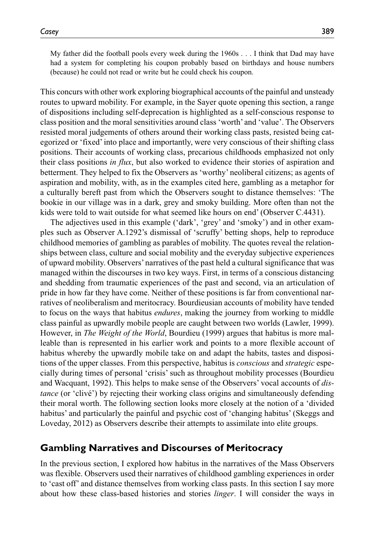My father did the football pools every week during the 1960s . . . I think that Dad may have had a system for completing his coupon probably based on birthdays and house numbers (because) he could not read or write but he could check his coupon.

This concurs with other work exploring biographical accounts of the painful and unsteady routes to upward mobility. For example, in the Sayer quote opening this section, a range of dispositions including self-deprecation is highlighted as a self-conscious response to class position and the moral sensitivities around class 'worth' and 'value'. The Observers resisted moral judgements of others around their working class pasts, resisted being categorized or 'fixed' into place and importantly, were very conscious of their shifting class positions. Their accounts of working class, precarious childhoods emphasized not only their class positions *in flux*, but also worked to evidence their stories of aspiration and betterment. They helped to fix the Observers as 'worthy' neoliberal citizens; as agents of aspiration and mobility, with, as in the examples cited here, gambling as a metaphor for a culturally bereft past from which the Observers sought to distance themselves: 'The bookie in our village was in a dark, grey and smoky building. More often than not the kids were told to wait outside for what seemed like hours on end' (Observer C.4431).

The adjectives used in this example ('dark', 'grey' and 'smoky') and in other examples such as Observer A.1292's dismissal of 'scruffy' betting shops, help to reproduce childhood memories of gambling as parables of mobility. The quotes reveal the relationships between class, culture and social mobility and the everyday subjective experiences of upward mobility. Observers' narratives of the past held a cultural significance that was managed within the discourses in two key ways. First, in terms of a conscious distancing and shedding from traumatic experiences of the past and second, via an articulation of pride in how far they have come. Neither of these positions is far from conventional narratives of neoliberalism and meritocracy. Bourdieusian accounts of mobility have tended to focus on the ways that habitus *endures*, making the journey from working to middle class painful as upwardly mobile people are caught between two worlds (Lawler, 1999). However, in *The Weight of the World*, Bourdieu (1999) argues that habitus is more malleable than is represented in his earlier work and points to a more flexible account of habitus whereby the upwardly mobile take on and adapt the habits, tastes and dispositions of the upper classes. From this perspective, habitus is *conscious* and *strategic* especially during times of personal 'crisis' such as throughout mobility processes (Bourdieu and Wacquant, 1992). This helps to make sense of the Observers' vocal accounts of *distance* (or 'clivé') by rejecting their working class origins and simultaneously defending their moral worth. The following section looks more closely at the notion of a 'divided habitus' and particularly the painful and psychic cost of 'changing habitus' (Skeggs and Loveday, 2012) as Observers describe their attempts to assimilate into elite groups.

#### **Gambling Narratives and Discourses of Meritocracy**

In the previous section, I explored how habitus in the narratives of the Mass Observers was flexible. Observers used their narratives of childhood gambling experiences in order to 'cast off' and distance themselves from working class pasts. In this section I say more about how these class-based histories and stories *linger*. I will consider the ways in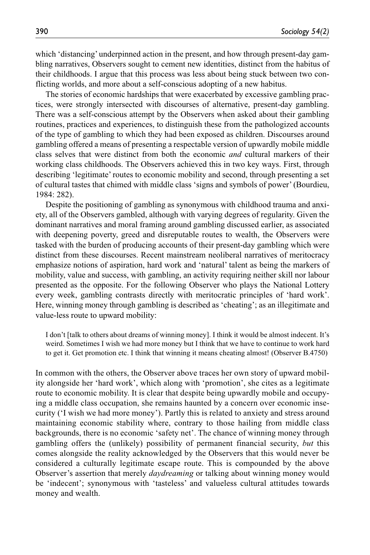which 'distancing' underpinned action in the present, and how through present-day gambling narratives, Observers sought to cement new identities, distinct from the habitus of their childhoods. I argue that this process was less about being stuck between two conflicting worlds, and more about a self-conscious adopting of a new habitus.

The stories of economic hardships that were exacerbated by excessive gambling practices, were strongly intersected with discourses of alternative, present-day gambling. There was a self-conscious attempt by the Observers when asked about their gambling routines, practices and experiences, to distinguish these from the pathologized accounts of the type of gambling to which they had been exposed as children. Discourses around gambling offered a means of presenting a respectable version of upwardly mobile middle class selves that were distinct from both the economic *and* cultural markers of their working class childhoods. The Observers achieved this in two key ways. First, through describing 'legitimate' routes to economic mobility and second, through presenting a set of cultural tastes that chimed with middle class 'signs and symbols of power' (Bourdieu, 1984: 282).

Despite the positioning of gambling as synonymous with childhood trauma and anxiety, all of the Observers gambled, although with varying degrees of regularity. Given the dominant narratives and moral framing around gambling discussed earlier, as associated with deepening poverty, greed and disreputable routes to wealth, the Observers were tasked with the burden of producing accounts of their present-day gambling which were distinct from these discourses. Recent mainstream neoliberal narratives of meritocracy emphasize notions of aspiration, hard work and 'natural' talent as being the markers of mobility, value and success, with gambling, an activity requiring neither skill nor labour presented as the opposite. For the following Observer who plays the National Lottery every week, gambling contrasts directly with meritocratic principles of 'hard work'. Here, winning money through gambling is described as 'cheating'; as an illegitimate and value-less route to upward mobility:

I don't [talk to others about dreams of winning money]. I think it would be almost indecent. It's weird. Sometimes I wish we had more money but I think that we have to continue to work hard to get it. Get promotion etc. I think that winning it means cheating almost! (Observer B.4750)

In common with the others, the Observer above traces her own story of upward mobility alongside her 'hard work', which along with 'promotion', she cites as a legitimate route to economic mobility. It is clear that despite being upwardly mobile and occupying a middle class occupation, she remains haunted by a concern over economic insecurity ('I wish we had more money'). Partly this is related to anxiety and stress around maintaining economic stability where, contrary to those hailing from middle class backgrounds, there is no economic 'safety net'. The chance of winning money through gambling offers the (unlikely) possibility of permanent financial security, *but* this comes alongside the reality acknowledged by the Observers that this would never be considered a culturally legitimate escape route. This is compounded by the above Observer's assertion that merely *daydreaming* or talking about winning money would be 'indecent'; synonymous with 'tasteless' and valueless cultural attitudes towards money and wealth.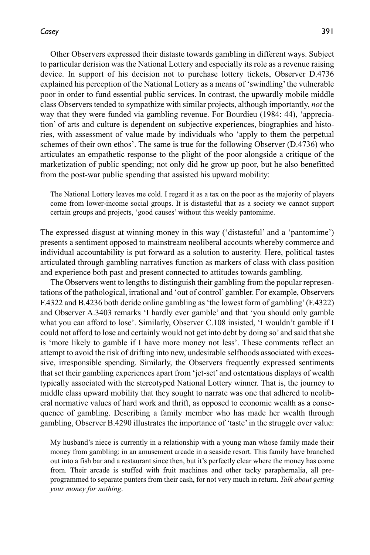Other Observers expressed their distaste towards gambling in different ways. Subject to particular derision was the National Lottery and especially its role as a revenue raising device. In support of his decision not to purchase lottery tickets, Observer D.4736 explained his perception of the National Lottery as a means of 'swindling' the vulnerable poor in order to fund essential public services. In contrast, the upwardly mobile middle class Observers tended to sympathize with similar projects, although importantly, *not* the way that they were funded via gambling revenue. For Bourdieu (1984: 44), 'appreciation' of arts and culture is dependent on subjective experiences, biographies and histories, with assessment of value made by individuals who 'apply to them the perpetual schemes of their own ethos'. The same is true for the following Observer (D.4736) who articulates an empathetic response to the plight of the poor alongside a critique of the marketization of public spending; not only did he grow up poor, but he also benefitted from the post-war public spending that assisted his upward mobility:

The National Lottery leaves me cold. I regard it as a tax on the poor as the majority of players come from lower-income social groups. It is distasteful that as a society we cannot support certain groups and projects, 'good causes' without this weekly pantomime.

The expressed disgust at winning money in this way ('distasteful' and a 'pantomime') presents a sentiment opposed to mainstream neoliberal accounts whereby commerce and individual accountability is put forward as a solution to austerity. Here, political tastes articulated through gambling narratives function as markers of class with class position and experience both past and present connected to attitudes towards gambling.

The Observers went to lengths to distinguish their gambling from the popular representations of the pathological, irrational and 'out of control' gambler. For example, Observers F.4322 and B.4236 both deride online gambling as 'the lowest form of gambling' (F.4322) and Observer A.3403 remarks 'I hardly ever gamble' and that 'you should only gamble what you can afford to lose'. Similarly, Observer C.108 insisted, 'I wouldn't gamble if I could not afford to lose and certainly would not get into debt by doing so' and said that she is 'more likely to gamble if I have more money not less'. These comments reflect an attempt to avoid the risk of drifting into new, undesirable selfhoods associated with excessive, irresponsible spending. Similarly, the Observers frequently expressed sentiments that set their gambling experiences apart from 'jet-set' and ostentatious displays of wealth typically associated with the stereotyped National Lottery winner. That is, the journey to middle class upward mobility that they sought to narrate was one that adhered to neoliberal normative values of hard work and thrift, as opposed to economic wealth as a consequence of gambling. Describing a family member who has made her wealth through gambling, Observer B.4290 illustrates the importance of 'taste' in the struggle over value:

My husband's niece is currently in a relationship with a young man whose family made their money from gambling: in an amusement arcade in a seaside resort. This family have branched out into a fish bar and a restaurant since then, but it's perfectly clear where the money has come from. Their arcade is stuffed with fruit machines and other tacky paraphernalia, all preprogrammed to separate punters from their cash, for not very much in return. *Talk about getting your money for nothing*.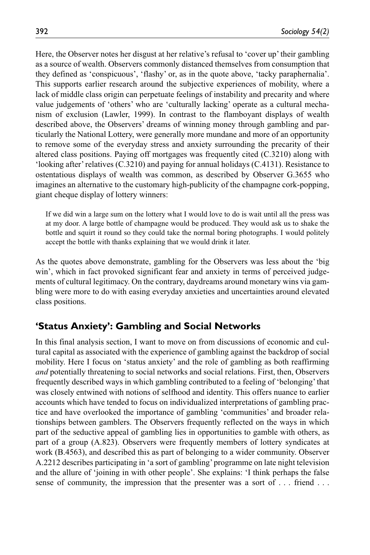Here, the Observer notes her disgust at her relative's refusal to 'cover up' their gambling as a source of wealth. Observers commonly distanced themselves from consumption that they defined as 'conspicuous', 'flashy' or, as in the quote above, 'tacky paraphernalia'. This supports earlier research around the subjective experiences of mobility, where a lack of middle class origin can perpetuate feelings of instability and precarity and where value judgements of 'others' who are 'culturally lacking' operate as a cultural mechanism of exclusion (Lawler, 1999). In contrast to the flamboyant displays of wealth described above, the Observers' dreams of winning money through gambling and particularly the National Lottery, were generally more mundane and more of an opportunity to remove some of the everyday stress and anxiety surrounding the precarity of their altered class positions. Paying off mortgages was frequently cited (C.3210) along with 'looking after' relatives (C.3210) and paying for annual holidays (C.4131). Resistance to ostentatious displays of wealth was common, as described by Observer G.3655 who imagines an alternative to the customary high-publicity of the champagne cork-popping, giant cheque display of lottery winners:

If we did win a large sum on the lottery what I would love to do is wait until all the press was at my door. A large bottle of champagne would be produced. They would ask us to shake the bottle and squirt it round so they could take the normal boring photographs. I would politely accept the bottle with thanks explaining that we would drink it later.

As the quotes above demonstrate, gambling for the Observers was less about the 'big win', which in fact provoked significant fear and anxiety in terms of perceived judgements of cultural legitimacy. On the contrary, daydreams around monetary wins via gambling were more to do with easing everyday anxieties and uncertainties around elevated class positions.

# **'Status Anxiety': Gambling and Social Networks**

In this final analysis section, I want to move on from discussions of economic and cultural capital as associated with the experience of gambling against the backdrop of social mobility. Here I focus on 'status anxiety' and the role of gambling as both reaffirming *and* potentially threatening to social networks and social relations. First, then, Observers frequently described ways in which gambling contributed to a feeling of 'belonging' that was closely entwined with notions of selfhood and identity. This offers nuance to earlier accounts which have tended to focus on individualized interpretations of gambling practice and have overlooked the importance of gambling 'communities' and broader relationships between gamblers. The Observers frequently reflected on the ways in which part of the seductive appeal of gambling lies in opportunities to gamble with others, as part of a group (A.823). Observers were frequently members of lottery syndicates at work (B.4563), and described this as part of belonging to a wider community. Observer A.2212 describes participating in 'a sort of gambling' programme on late night television and the allure of 'joining in with other people'. She explains: 'I think perhaps the false sense of community, the impression that the presenter was a sort of . . . friend . . .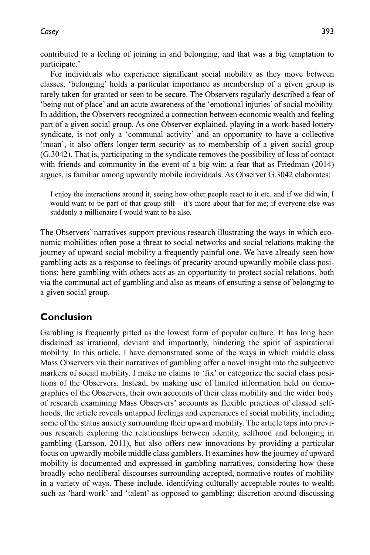contributed to a feeling of joining in and belonging, and that was a big temptation to participate.'

For individuals who experience significant social mobility as they move between classes, 'belonging' holds a particular importance as membership of a given group is rarely taken for granted or seen to be secure. The Observers regularly described a fear of 'being out of place' and an acute awareness of the 'emotional injuries' of social mobility. In addition, the Observers recognized a connection between economic wealth and feeling part of a given social group. As one Observer explained, playing in a work-based lottery syndicate, is not only a 'communal activity' and an opportunity to have a collective 'moan', it also offers longer-term security as to membership of a given social group (G.3042). That is, participating in the syndicate removes the possibility of loss of contact with friends and community in the event of a big win; a fear that as Friedman (2014) argues, is familiar among upwardly mobile individuals. As Observer G.3042 elaborates:

I enjoy the interactions around it, seeing how other people react to it etc. and if we did win, I would want to be part of that group still – it's more about that for me; if everyone else was suddenly a millionaire I would want to be also.

The Observers' narratives support previous research illustrating the ways in which economic mobilities often pose a threat to social networks and social relations making the journey of upward social mobility a frequently painful one. We have already seen how gambling acts as a response to feelings of precarity around upwardly mobile class positions; here gambling with others acts as an opportunity to protect social relations, both via the communal act of gambling and also as means of ensuring a sense of belonging to a given social group.

# **Conclusion**

Gambling is frequently pitted as the lowest form of popular culture. It has long been disdained as irrational, deviant and importantly, hindering the spirit of aspirational mobility. In this article, I have demonstrated some of the ways in which middle class Mass Observers via their narratives of gambling offer a novel insight into the subjective markers of social mobility. I make no claims to 'fix' or categorize the social class positions of the Observers. Instead, by making use of limited information held on demographics of the Observers, their own accounts of their class mobility and the wider body of research examining Mass Observers' accounts as flexible practices of classed selfhoods, the article reveals untapped feelings and experiences of social mobility, including some of the status anxiety surrounding their upward mobility. The article taps into previous research exploring the relationships between identity, selfhood and belonging in gambling (Larsson, 2011), but also offers new innovations by providing a particular focus on upwardly mobile middle class gamblers. It examines how the journey of upward mobility is documented and expressed in gambling narratives, considering how these broadly echo neoliberal discourses surrounding accepted, normative routes of mobility in a variety of ways. These include, identifying culturally acceptable routes to wealth such as 'hard work' and 'talent' as opposed to gambling; discretion around discussing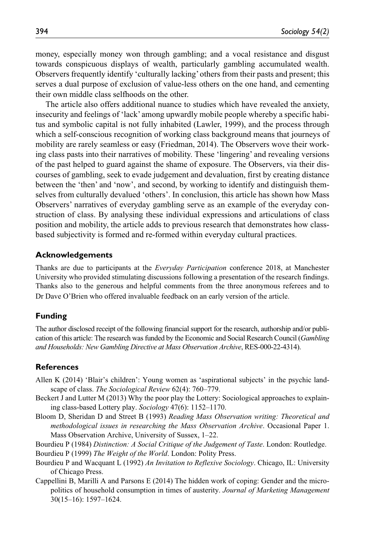money, especially money won through gambling; and a vocal resistance and disgust towards conspicuous displays of wealth, particularly gambling accumulated wealth. Observers frequently identify 'culturally lacking' others from their pasts and present; this serves a dual purpose of exclusion of value-less others on the one hand, and cementing their own middle class selfhoods on the other.

The article also offers additional nuance to studies which have revealed the anxiety, insecurity and feelings of 'lack' among upwardly mobile people whereby a specific habitus and symbolic capital is not fully inhabited (Lawler, 1999), and the process through which a self-conscious recognition of working class background means that journeys of mobility are rarely seamless or easy (Friedman, 2014). The Observers wove their working class pasts into their narratives of mobility. These 'lingering' and revealing versions of the past helped to guard against the shame of exposure. The Observers, via their discourses of gambling, seek to evade judgement and devaluation, first by creating distance between the 'then' and 'now', and second, by working to identify and distinguish themselves from culturally devalued 'others'. In conclusion, this article has shown how Mass Observers' narratives of everyday gambling serve as an example of the everyday construction of class. By analysing these individual expressions and articulations of class position and mobility, the article adds to previous research that demonstrates how classbased subjectivity is formed and re-formed within everyday cultural practices.

#### **Acknowledgements**

Thanks are due to participants at the *Everyday Participation* conference 2018, at Manchester University who provided stimulating discussions following a presentation of the research findings. Thanks also to the generous and helpful comments from the three anonymous referees and to Dr Dave O'Brien who offered invaluable feedback on an early version of the article.

#### **Funding**

The author disclosed receipt of the following financial support for the research, authorship and/or publication of this article: The research was funded by the Economic and Social Research Council (*Gambling and Households: New Gambling Directive at Mass Observation Archive*, RES-000-22-4314).

#### **References**

- Allen K (2014) 'Blair's children': Young women as 'aspirational subjects' in the psychic landscape of class. *The Sociological Review* 62(4): 760–779.
- Beckert J and Lutter M (2013) Why the poor play the Lottery: Sociological approaches to explaining class-based Lottery play. *Sociology* 47(6): 1152–1170.
- Bloom D, Sheridan D and Street B (1993) *Reading Mass Observation writing: Theoretical and methodological issues in researching the Mass Observation Archive*. Occasional Paper 1. Mass Observation Archive, University of Sussex, 1–22.
- Bourdieu P (1984) *Distinction: A Social Critique of the Judgement of Taste*. London: Routledge.
- Bourdieu P (1999) *The Weight of the World*. London: Polity Press.
- Bourdieu P and Wacquant L (1992) *An Invitation to Reflexive Sociology*. Chicago, IL: University of Chicago Press.
- Cappellini B, Marilli A and Parsons E (2014) The hidden work of coping: Gender and the micropolitics of household consumption in times of austerity. *Journal of Marketing Management* 30(15–16): 1597–1624.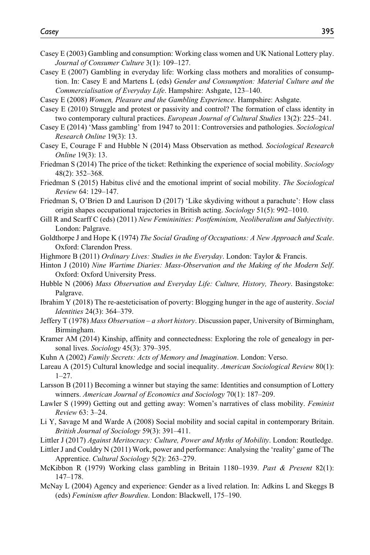- Casey E (2003) Gambling and consumption: Working class women and UK National Lottery play. *Journal of Consumer Culture* 3(1): 109–127.
- Casey E (2007) Gambling in everyday life: Working class mothers and moralities of consumption. In: Casey E and Martens L (eds) *Gender and Consumption: Material Culture and the Commercialisation of Everyday Life*. Hampshire: Ashgate, 123–140.
- Casey E (2008) *Women, Pleasure and the Gambling Experience*. Hampshire: Ashgate.
- Casey E (2010) Struggle and protest or passivity and control? The formation of class identity in two contemporary cultural practices. *European Journal of Cultural Studies* 13(2): 225–241.
- Casey E (2014) 'Mass gambling' from 1947 to 2011: Controversies and pathologies. *Sociological Research Online* 19(3): 13.
- Casey E, Courage F and Hubble N (2014) Mass Observation as method. *Sociological Research Online* 19(3): 13.
- Friedman S (2014) The price of the ticket: Rethinking the experience of social mobility. *Sociology* 48(2): 352–368.
- Friedman S (2015) Habitus clivé and the emotional imprint of social mobility. *The Sociological Review* 64: 129–147.
- Friedman S, O'Brien D and Laurison D (2017) 'Like skydiving without a parachute': How class origin shapes occupational trajectories in British acting. *Sociology* 51(5): 992–1010.
- Gill R and Scarff C (eds) (2011) *New Femininities: Postfeminism, Neoliberalism and Subjectivity*. London: Palgrave.
- Goldthorpe J and Hope K (1974) *The Social Grading of Occupations: A New Approach and Scale*. Oxford: Clarendon Press.
- Highmore B (2011) *Ordinary Lives: Studies in the Everyday*. London: Taylor & Francis.
- Hinton J (2010) *Nine Wartime Diaries: Mass-Observation and the Making of the Modern Self*. Oxford: Oxford University Press.
- Hubble N (2006) *Mass Observation and Everyday Life: Culture, History, Theory*. Basingstoke: Palgrave.
- Ibrahim Y (2018) The re-aesteticisation of poverty: Blogging hunger in the age of austerity. *Social Identities* 24(3): 364–379.
- Jeffery T (1978) *Mass Observation a short history*. Discussion paper, University of Birmingham, Birmingham.
- Kramer AM (2014) Kinship, affinity and connectedness: Exploring the role of genealogy in personal lives. *Sociology* 45(3): 379–395.
- Kuhn A (2002) *Family Secrets: Acts of Memory and Imagination*. London: Verso.
- Lareau A (2015) Cultural knowledge and social inequality. *American Sociological Review* 80(1): 1–27.
- Larsson B (2011) Becoming a winner but staying the same: Identities and consumption of Lottery winners. *American Journal of Economics and Sociology* 70(1): 187–209.
- Lawler S (1999) Getting out and getting away: Women's narratives of class mobility. *Feminist Review* 63: 3–24.
- Li Y, Savage M and Warde A (2008) Social mobility and social capital in contemporary Britain. *British Journal of Sociology* 59(3): 391–411.
- Littler J (2017) *Against Meritocracy: Culture, Power and Myths of Mobility*. London: Routledge.
- Littler J and Couldry N (2011) Work, power and performance: Analysing the 'reality' game of The Apprentice. *Cultural Sociology* 5(2): 263–279.
- McKibbon R (1979) Working class gambling in Britain 1180–1939. *Past & Present* 82(1): 147–178.
- McNay L (2004) Agency and experience: Gender as a lived relation. In: Adkins L and Skeggs B (eds) *Feminism after Bourdieu*. London: Blackwell, 175–190.